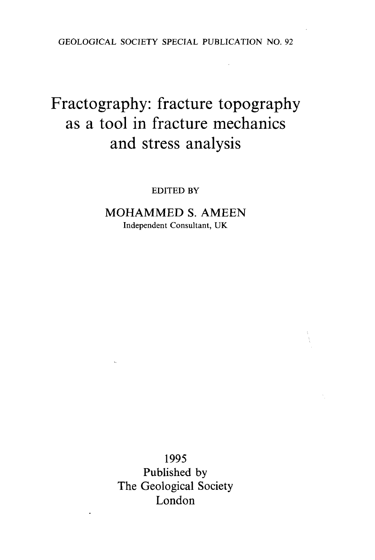GEOLOGICAL SOCIETY SPECIAL PUBLICATION NO. 92

## Fractography: fracture topography as a tool in fracture mechanics and stress analysis

EDITED BY

MOHAMMED S. AMEEN Independent Consultant, UK

1995 Published by The Geological Society London